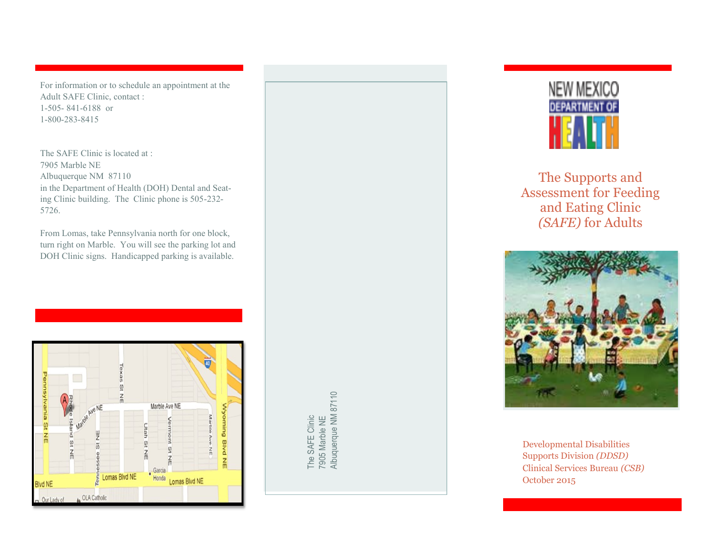For information or to schedule an appointment at the Adult SAFE Clinic, contact : 1-505- 841-6188 or 1-800-283-8415

The SAFE Clinic is located at : 7905 Marble NE Albuquerque NM 87110 in the Department of Health (DOH) Dental and Seating Clinic building. The Clinic phone is 505-232- 5726.

From Lomas, take Pennsylvania north for one block, turn right on Marble. You will see the parking lot and DOH Clinic signs. Handicapped parking is available.



The SAFE Clinic<br>7905 Marble NE<br>Albuquerque NM 87110 Albuquerque NM 87110 7905 Marble NE The SAFE Clinic



The Supports and Assessment for Feeding and Eating Clinic *(SAFE)* for Adults



Developmental Disabilities Supports Division *(DDSD)* Clinical Services Bureau *(CSB)* October 2015